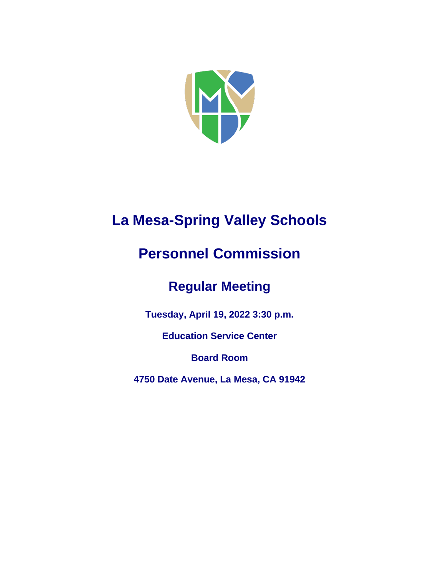

# **La Mesa-Spring Valley Schools**

# **Personnel Commission**

## **Regular Meeting**

**Tuesday, April 19, 2022 3:30 p.m.**

**Education Service Center**

**Board Room**

**4750 Date Avenue, La Mesa, CA 91942**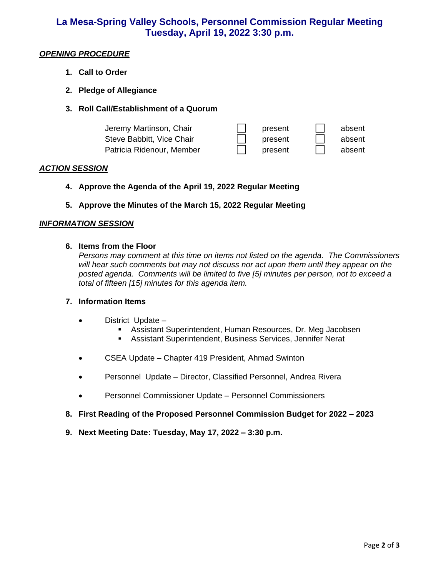### **La Mesa-Spring Valley Schools, Personnel Commission Regular Meeting Tuesday, April 19, 2022 3:30 p.m.**

#### *OPENING PROCEDURE*

- **1. Call to Order**
- **2. Pledge of Allegiance**
- **3. Roll Call/Establishment of a Quorum**

| Jeremy Martinson, Chair   | present | absent |
|---------------------------|---------|--------|
| Steve Babbitt, Vice Chair | present | absent |
| Patricia Ridenour, Member | present | absent |

#### *ACTION SESSION*

- **4. Approve the Agenda of the April 19, 2022 Regular Meeting**
- **5. Approve the Minutes of the March 15, 2022 Regular Meeting**

#### *INFORMATION SESSION*

#### **6. Items from the Floor**

*Persons may comment at this time on items not listed on the agenda. The Commissioners will hear such comments but may not discuss nor act upon them until they appear on the posted agenda. Comments will be limited to five [5] minutes per person, not to exceed a total of fifteen [15] minutes for this agenda item.* 

#### **7. Information Items**

- District Update
	- **E** Assistant Superintendent, Human Resources, Dr. Meg Jacobsen
	- Assistant Superintendent, Business Services, Jennifer Nerat
- CSEA Update Chapter 419 President, Ahmad Swinton
- Personnel Update Director, Classified Personnel, Andrea Rivera
- Personnel Commissioner Update Personnel Commissioners
- **8. First Reading of the Proposed Personnel Commission Budget for 2022 – 2023**
- **9. Next Meeting Date: Tuesday, May 17, 2022 – 3:30 p.m.**